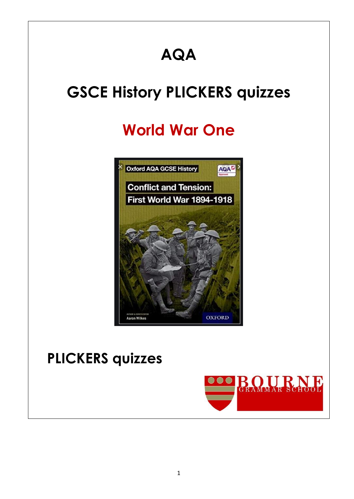# **AQA**

# **GSCE History PLICKERS quizzes**

# **World War One**



# **PLICKERS quizzes**

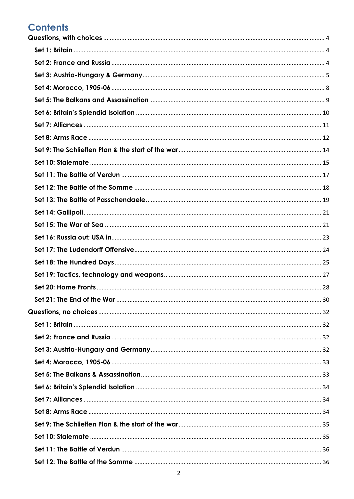# **Contents**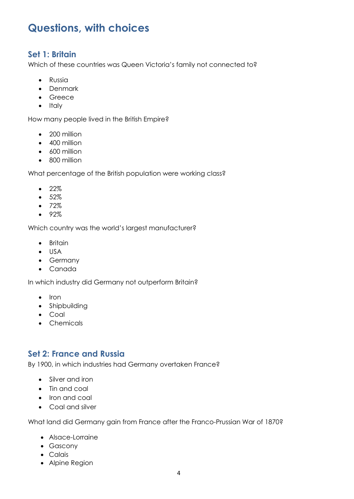# <span id="page-3-0"></span>**Questions, with choices**

#### <span id="page-3-1"></span>**Set 1: Britain**

Which of these countries was Queen Victoria's family not connected to?

- Russia
- Denmark
- Greece
- $\bullet$  Italy

How many people lived in the British Empire?

- 200 million
- 400 million
- 600 million
- 800 million

What percentage of the British population were working class?

- $22%$
- 52%
- $72%$
- $92%$

Which country was the world's largest manufacturer?

- Britain
- USA
- Germany
- Canada

In which industry did Germany not outperform Britain?

- $\bullet$  Iron
- Shipbuilding
- Coal
- Chemicals

#### <span id="page-3-2"></span>**Set 2: France and Russia**

By 1900, in which industries had Germany overtaken France?

- Silver and iron
- Tin and coal
- Iron and coal
- Coal and silver

What land did Germany gain from France after the Franco-Prussian War of 1870?

- Alsace-Lorraine
- Gascony
- Calais
- Alpine Region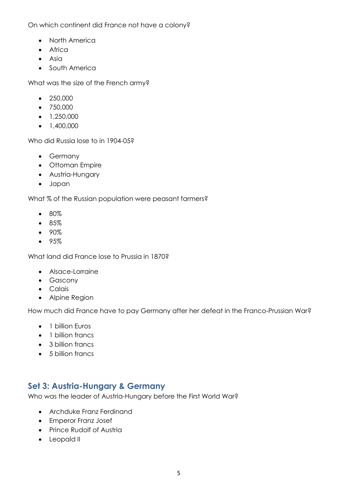On which continent did France not have a colony?

- North America
- Africa
- Asia
- South America

What was the size of the French army?

- $250,000$
- 750,000
- $\bullet$  1,250,000
- $\bullet$  1,400,000

Who did Russia lose to in 1904-05?

- Germany
- Ottoman Empire
- Austria-Hungary
- Japan

What % of the Russian population were peasant farmers?

- 80%
- 85%
- 90%
- 95%

What land did France lose to Prussia in 1870?

- Alsace-Lorraine
- Gascony
- **•** Calais
- Alpine Region

How much did France have to pay Germany after her defeat in the Franco-Prussian War?

- 1 billion Euros
- 1 billion francs
- 3 billion francs
- 5 billion francs

#### <span id="page-4-0"></span>**Set 3: Austria-Hungary & Germany**

Who was the leader of Austria-Hungary before the First World War?

- Archduke Franz Ferdinand
- Emperor Franz Josef
- Prince Rudolf of Austria
- Leopald II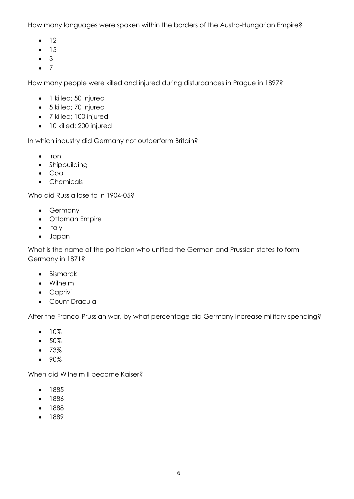How many languages were spoken within the borders of the Austro-Hungarian Empire?

- $\bullet$  12
- $-15$
- 3
- $\bullet$  7

How many people were killed and injured during disturbances in Prague in 1897?

- 1 killed; 50 injured
- 5 killed; 70 injured
- 7 killed; 100 injured
- 10 killed; 200 injured

In which industry did Germany not outperform Britain?

- $\bullet$  Iron
- Shipbuilding
- Coal
- Chemicals

Who did Russia lose to in 1904-05?

- Germany
- Ottoman Empire
- Italy
- Japan

What is the name of the politician who unified the German and Prussian states to form Germany in 1871?

- Bismarck
- Wilhelm
- Caprivi
- Count Dracula

After the Franco-Prussian war, by what percentage did Germany increase military spending?

- $10%$
- $50%$
- $73%$
- 90%

When did Wilhelm II become Kaiser?

- 1885
- 1886
- 1888
- 1889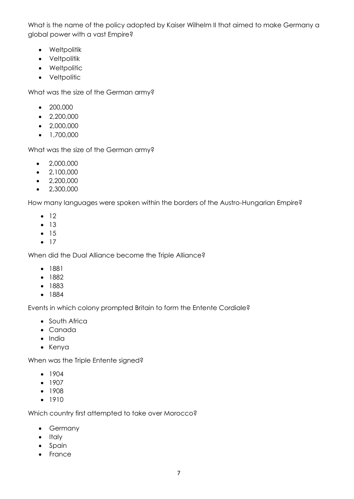What is the name of the policy adopted by Kaiser Wilhelm II that aimed to make Germany a global power with a vast Empire?

- Weltpolitik
- Veltpolitik
- Weltpolitic
- Veltpolitic

What was the size of the German army?

- 200,000
- $\bullet$  2,200,000
- $\bullet$  2,000,000
- $\bullet$  1,700,000

What was the size of the German army?

- $\bullet$  2,000,000
- $\bullet$  2,100,000
- $\bullet$  2,200,000
- $\bullet$  2,300,000

How many languages were spoken within the borders of the Austro-Hungarian Empire?

- $\bullet$  12
- $13$
- $15$
- $\bullet$  17

When did the Dual Alliance become the Triple Alliance?

- 1881
- 1882
- 1883
- 1884

Events in which colony prompted Britain to form the Entente Cordiale?

- South Africa
- Canada
- India
- Kenya

When was the Triple Entente signed?

- $-1904$
- $-1907$
- 1908
- $1910$

Which country first attempted to take over Morocco?

- Germany
- Italy
- Spain
- France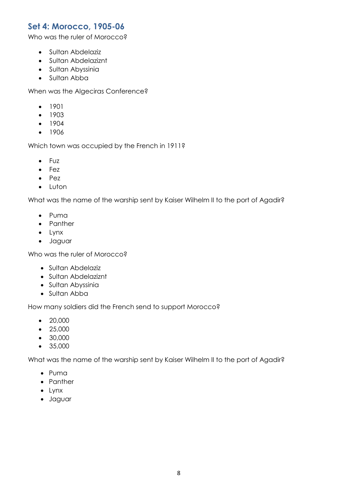#### <span id="page-7-0"></span>**Set 4: Morocco, 1905-06**

Who was the ruler of Morocco?

- Sultan Abdelaziz
- Sultan Abdelaziznt
- Sultan Abyssinia
- Sultan Abba

When was the Algeciras Conference?

- 1901
- $-1903$
- 1904
- 1906

Which town was occupied by the French in 1911?

- Fuz
- Fez
- $\bullet$  Pez
- Luton

What was the name of the warship sent by Kaiser Wilhelm II to the port of Agadir?

- Puma
- Panther
- Lynx
- Jaguar

Who was the ruler of Morocco?

- Sultan Abdelaziz
- Sultan Abdelaziznt
- Sultan Abyssinia
- Sultan Abba

How many soldiers did the French send to support Morocco?

- 20,000
- $25,000$
- 30,000
- 35,000

What was the name of the warship sent by Kaiser Wilhelm II to the port of Agadir?

- Puma
- Panther
- Lynx
- Jaguar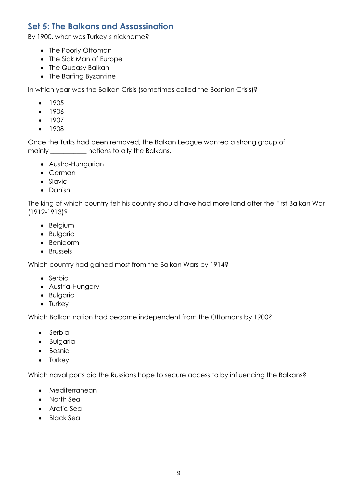#### <span id="page-8-0"></span>**Set 5: The Balkans and Assassination**

By 1900, what was Turkey's nickname?

- The Poorly Ottoman
- The Sick Man of Europe
- The Queasy Balkan
- The Barfing Byzantine

In which year was the Balkan Crisis (sometimes called the Bosnian Crisis)?

- $1905$
- $1906$
- $-1907$
- $1908$

Once the Turks had been removed, the Balkan League wanted a strong group of mainly \_\_\_\_\_\_\_\_\_\_\_ nations to ally the Balkans.

- Austro-Hungarian
- German
- Slavic
- Danish

The king of which country felt his country should have had more land after the First Balkan War (1912-1913)?

- Belgium
- **•** Bulgaria
- Benidorm
- Brussels

Which country had gained most from the Balkan Wars by 1914?

- Serbia
- Austria-Hungary
- Bulgaria
- Turkey

Which Balkan nation had become independent from the Ottomans by 1900?

- Serbia
- **•** Bulgaria
- Bosnia
- Turkey

Which naval ports did the Russians hope to secure access to by influencing the Balkans?

- Mediterranean
- North Sea
- Arctic Sea
- Black Sea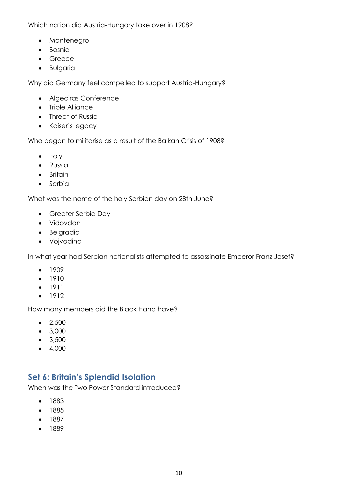Which nation did Austria-Hungary take over in 1908?

- Montenegro
- Bosnia
- Greece
- **•** Bulgaria

Why did Germany feel compelled to support Austria-Hungary?

- Algeciras Conference
- Triple Alliance
- Threat of Russia
- Kaiser's legacy

Who began to militarise as a result of the Balkan Crisis of 1908?

- $\bullet$  Italy
- **•** Russia
- Britain
- Serbia

What was the name of the holy Serbian day on 28th June?

- Greater Serbia Day
- Vidovdan
- **•** Belgradia
- Vojvodina

In what year had Serbian nationalists attempted to assassinate Emperor Franz Josef?

- $1909$
- $-1910$
- 1911
- $1912$

How many members did the Black Hand have?

- $-2,500$
- 3,000
- $3,500$
- $-4,000$

#### <span id="page-9-0"></span>**Set 6: Britain's Splendid Isolation**

When was the Two Power Standard introduced?

- 1883
- 1885
- $1887$
- $1889$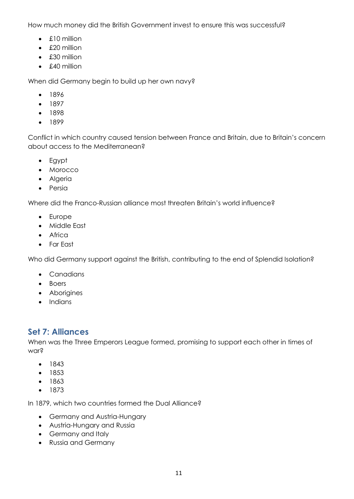How much money did the British Government invest to ensure this was successful?

- $\bullet$  £10 million
- £20 million
- £30 million
- £40 million

When did Germany begin to build up her own navy?

- 1896
- $1897$
- 1898
- $1899$

Conflict in which country caused tension between France and Britain, due to Britain's concern about access to the Mediterranean?

- Egypt
- Morocco
- Algeria
- Persia

Where did the Franco-Russian alliance most threaten Britain's world influence?

- Europe
- Middle East
- Africa
- Far East

Who did Germany support against the British, contributing to the end of Splendid Isolation?

- Canadians
- Boers
- Aborigines
- Indians

#### <span id="page-10-0"></span>**Set 7: Alliances**

When was the Three Emperors League formed, promising to support each other in times of war?

- $1843$
- $1853$
- 1863
- 1873

In 1879, which two countries formed the Dual Alliance?

- Germany and Austria-Hungary
- Austria-Hungary and Russia
- Germany and Italy
- Russia and Germany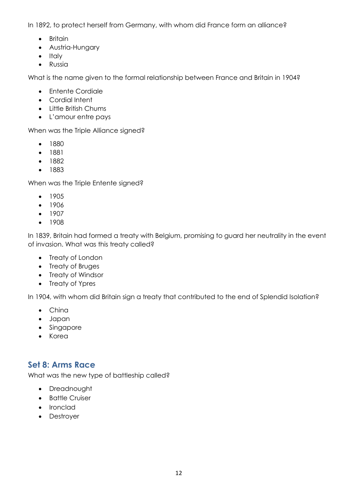In 1892, to protect herself from Germany, with whom did France form an alliance?

- Britain
- Austria-Hungary
- Italy
- **•** Russia

What is the name given to the formal relationship between France and Britain in 1904?

- Entente Cordiale
- Cordial Intent
- Little British Chums
- L'amour entre pays

When was the Triple Alliance signed?

- 1880
- 1881
- 1882
- 1883

When was the Triple Entente signed?

- 1905
- $1906$
- $-1907$
- 1908

In 1839, Britain had formed a treaty with Belgium, promising to guard her neutrality in the event of invasion. What was this treaty called?

- Treaty of London
- Treaty of Bruges
- Treaty of Windsor
- Treaty of Ypres

In 1904, with whom did Britain sign a treaty that contributed to the end of Splendid Isolation?

- China
- Japan
- Singapore
- Korea

### <span id="page-11-0"></span>**Set 8: Arms Race**

What was the new type of battleship called?

- Dreadnought
- Battle Cruiser
- Ironclad
- Destroyer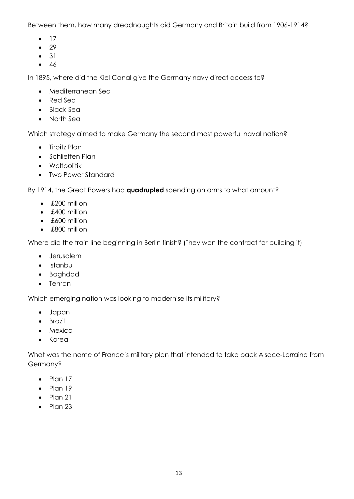Between them, how many dreadnoughts did Germany and Britain build from 1906-1914?

- $\bullet$  17
- $29$
- $\bullet$  31
- $-46$

In 1895, where did the Kiel Canal give the Germany navy direct access to?

- Mediterranean Sea
- Red Sea
- Black Sea
- North Sea

Which strategy aimed to make Germany the second most powerful naval nation?

- Tirpitz Plan
- Schlieffen Plan
- Weltpolitik
- Two Power Standard

By 1914, the Great Powers had **quadrupled** spending on arms to what amount?

- £200 million
- £400 million
- £600 million
- £800 million

Where did the train line beginning in Berlin finish? (They won the contract for building it)

- Jerusalem
- Istanbul
- Baghdad
- Tehran

Which emerging nation was looking to modernise its military?

- Japan
- **•** Brazil
- Mexico
- Korea

What was the name of France's military plan that intended to take back Alsace-Lorraine from Germany?

- $\bullet$  Plan 17
- $\bullet$  Plan 19
- $\bullet$  Plan 21
- $\bullet$  Plan 23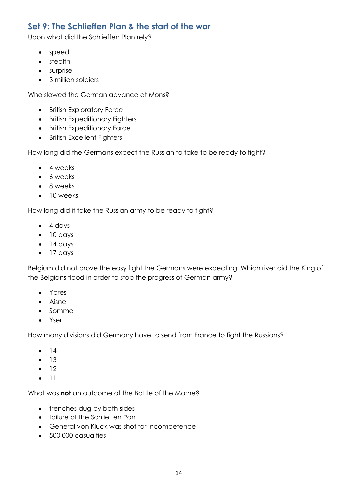## <span id="page-13-0"></span>**Set 9: The Schlieffen Plan & the start of the war**

Upon what did the Schlieffen Plan rely?

- speed
- stealth
- surprise
- 3 million soldiers

Who slowed the German advance at Mons?

- British Exploratory Force
- British Expeditionary Fighters
- **•** British Expeditionary Force
- British Excellent Fighters

How long did the Germans expect the Russian to take to be ready to fight?

- 4 weeks
- 6 weeks
- 8 weeks
- 10 weeks

How long did it take the Russian army to be ready to fight?

- $\bullet$  4 days
- $\bullet$  10 days
- $\bullet$  14 days
- $\bullet$  17 days

Belgium did not prove the easy fight the Germans were expecting. Which river did the King of the Belgians flood in order to stop the progress of German army?

- Ypres
- Aisne
- Somme
- Yser

How many divisions did Germany have to send from France to fight the Russians?

- $-14$
- $13$
- $\bullet$  12
- $\bullet$  11

What was **not** an outcome of the Battle of the Marne?

- trenches dug by both sides
- failure of the Schlieffen Pan
- General von Kluck was shot for incompetence
- 500,000 casualties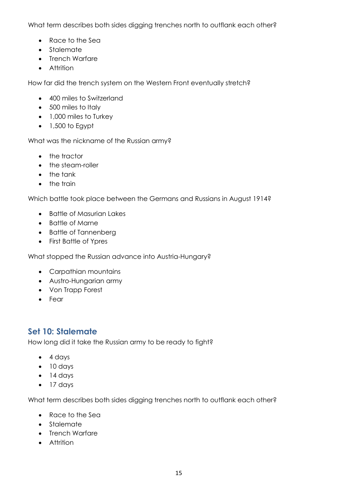What term describes both sides digging trenches north to outflank each other?

- Race to the Sea
- Stalemate
- Trench Warfare
- Attrition

How far did the trench system on the Western Front eventually stretch?

- 400 miles to Switzerland
- 500 miles to Italy
- 1,000 miles to Turkey
- $\bullet$  1,500 to Egypt

What was the nickname of the Russian army?

- the tractor
- the steam-roller
- $\bullet$  the tank
- the train

Which battle took place between the Germans and Russians in August 1914?

- Battle of Masurian Lakes
- Battle of Marne
- Battle of Tannenberg
- First Battle of Ypres

What stopped the Russian advance into Austria-Hungary?

- Carpathian mountains
- Austro-Hungarian army
- Von Trapp Forest
- Fear

### <span id="page-14-0"></span>**Set 10: Stalemate**

How long did it take the Russian army to be ready to fight?

- $\bullet$  4 days
- $\bullet$  10 days
- $\bullet$  14 days
- 17 days

What term describes both sides digging trenches north to outflank each other?

- Race to the Sea
- Stalemate
- Trench Warfare
- Attrition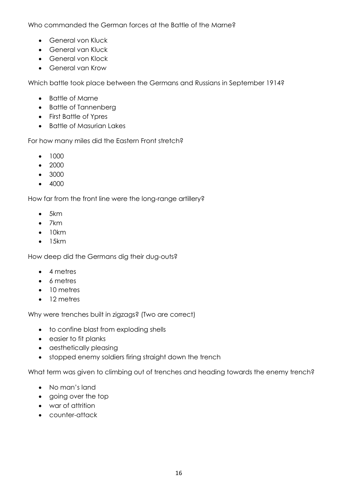Who commanded the German forces at the Battle of the Marne?

- General von Kluck
- General van Kluck
- General von Klock
- General van Krow

Which battle took place between the Germans and Russians in September 1914?

- Battle of Marne
- Battle of Tannenberg
- First Battle of Ypres
- Battle of Masurian Lakes

For how many miles did the Eastern Front stretch?

- $1000$
- $2000$
- 3000
- 4000

How far from the front line were the long-range artillery?

- $-5km$
- $\bullet$  7 km
- $\bullet$  10km
- $\bullet$  15km

How deep did the Germans dig their dug-outs?

- 4 metres
- 6 metres
- 10 metres
- 12 metres

Why were trenches built in zigzags? (Two are correct)

- to confine blast from exploding shells
- easier to fit planks
- aesthetically pleasing
- stopped enemy soldiers firing straight down the trench

What term was given to climbing out of trenches and heading towards the enemy trench?

- No man's land
- going over the top
- war of attrition
- counter-attack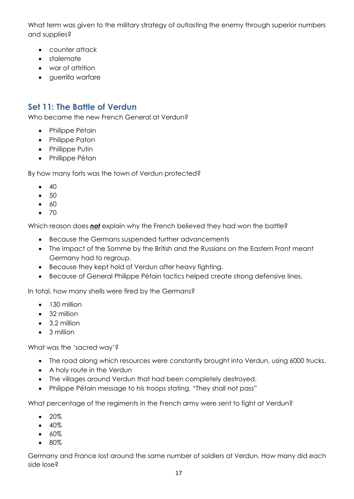What term was given to the military strategy of outlasting the enemy through superior numbers and supplies?

- counter attack
- stalemate
- war of attrition
- querrilla warfare

# <span id="page-16-0"></span>**Set 11: The Battle of Verdun**

Who became the new French General at Verdun?

- Philippe Pétain
- Philippe Paton
- Phillippe Putin
- Phillippe Pétan

By how many forts was the town of Verdun protected?

- $\bullet$  40
- $\bullet$  50
- $\bullet$  60
- $\bullet$  70

Which reason does *not* explain why the French believed they had won the battle?

- Because the Germans suspended further advancements
- The impact of the Somme by the British and the Russians on the Eastern Front meant Germany had to regroup.
- Because they kept hold of Verdun after heavy fighting.
- Because of General Philippe Pétain tactics helped create strong defensive lines.

In total, how many shells were fired by the Germans?

- $\bullet$  130 million
- 32 million
- 3.2 million
- 3 million

What was the 'sacred way'?

- The road along which resources were constantly brought into Verdun, using 6000 trucks.
- A holy route in the Verdun
- The villages around Verdun that had been completely destroyed.
- Philippe Pétain message to his troops stating, "They shall not pass"

What percentage of the regiments in the French army were sent to fight at Verdun?

- 20%
- $40%$
- $60%$
- 80%

Germany and France lost around the same number of soldiers at Verdun. How many did each side lose?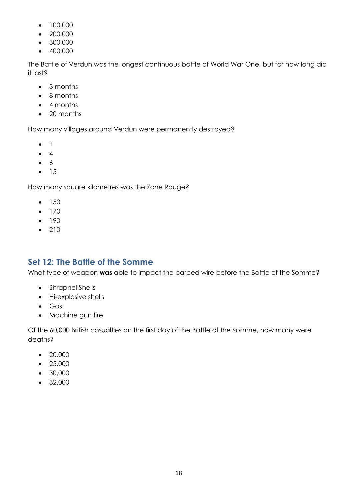- 100,000
- 200,000
- 300,000
- $-400,000$

The Battle of Verdun was the longest continuous battle of World War One, but for how long did it last?

- 3 months
- 8 months
- 4 months
- 20 months

How many villages around Verdun were permanently destroyed?

- $\bullet$  1
- $\bullet$  4
- $\bullet$  6
- $15$

How many square kilometres was the Zone Rouge?

- $150$
- $170$
- $-190$
- $210$

# <span id="page-17-0"></span>**Set 12: The Battle of the Somme**

What type of weapon **was** able to impact the barbed wire before the Battle of the Somme?

- Shrapnel Shells
- Hi-explosive shells
- Gas
- Machine gun fire

Of the 60,000 British casualties on the first day of the Battle of the Somme, how many were deaths?

- $\bullet$  20,000
- $25,000$
- 30,000
- 32,000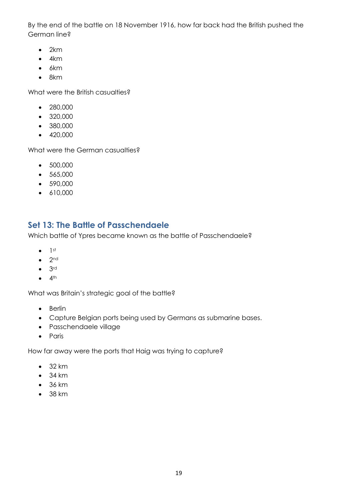By the end of the battle on 18 November 1916, how far back had the British pushed the German line?

- $\bullet$  2km
- $4km$
- $-6km$
- $8km$

What were the British casualties?

- 280,000
- 320,000
- 380,000
- $-420,000$

What were the German casualties?

- 500,000
- 565,000
- 590,000
- $\bullet$  610,000

## <span id="page-18-0"></span>**Set 13: The Battle of Passchendaele**

Which battle of Ypres became known as the battle of Passchendaele?

- $\bullet$  1st
- $\bullet$  2nd
- $\bullet$  3rd
- $\bullet$  4<sup>th</sup>

What was Britain's strategic goal of the battle?

- Berlin
- Capture Belgian ports being used by Germans as submarine bases.
- Passchendaele village
- Paris

How far away were the ports that Haig was trying to capture?

- $-32 km$
- $-34 km$
- $-36 km$
- $-38$  km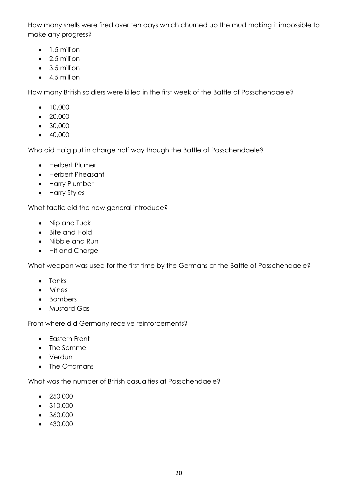How many shells were fired over ten days which churned up the mud making it impossible to make any progress?

- $\bullet$  1.5 million
- 2.5 million
- 3.5 million
- 4.5 million

How many British soldiers were killed in the first week of the Battle of Passchendaele?

- $10,000$
- 20,000
- 30,000
- $-40,000$

Who did Haig put in charge half way though the Battle of Passchendaele?

- Herbert Plumer
- Herbert Pheasant
- Harry Plumber
- Harry Styles

What tactic did the new general introduce?

- Nip and Tuck
- Bite and Hold
- Nibble and Run
- Hit and Charge

What weapon was used for the first time by the Germans at the Battle of Passchendaele?

- Tanks
- Mines
- Bombers
- Mustard Gas

From where did Germany receive reinforcements?

- Eastern Front
- The Somme
- Verdun
- The Ottomans

What was the number of British casualties at Passchendaele?

- 250,000
- 310,000
- 360,000
- 430,000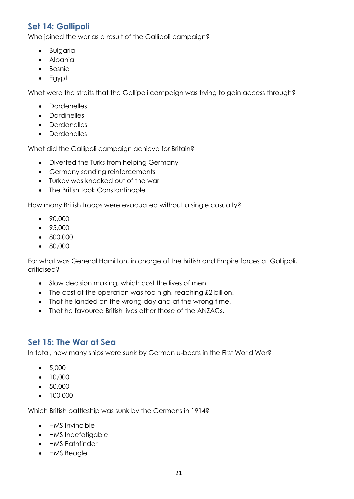# <span id="page-20-0"></span>**Set 14: Gallipoli**

Who joined the war as a result of the Gallipoli campaign?

- **•** Bulgaria
- Albania
- Bosnia
- Egypt

What were the straits that the Gallipoli campaign was trying to gain access through?

- Dardenelles
- Dardinelles
- Dardanelles
- Dardonelles

What did the Gallipoli campaign achieve for Britain?

- Diverted the Turks from helping Germany
- Germany sending reinforcements
- Turkey was knocked out of the war
- The British took Constantinople

How many British troops were evacuated without a single casualty?

- 90,000
- 95,000
- 800,000
- 80,000

For what was General Hamilton, in charge of the British and Empire forces at Gallipoli, criticised?

- Slow decision making, which cost the lives of men.
- The cost of the operation was too high, reaching £2 billion.
- That he landed on the wrong day and at the wrong time.
- That he favoured British lives other those of the ANZACs.

#### <span id="page-20-1"></span>**Set 15: The War at Sea**

In total, how many ships were sunk by German u-boats in the First World War?

- $5,000$
- 10,000
- 50,000
- 100,000

Which British battleship was sunk by the Germans in 1914?

- HMS Invincible
- HMS Indefatigable
- HMS Pathfinder
- HMS Beagle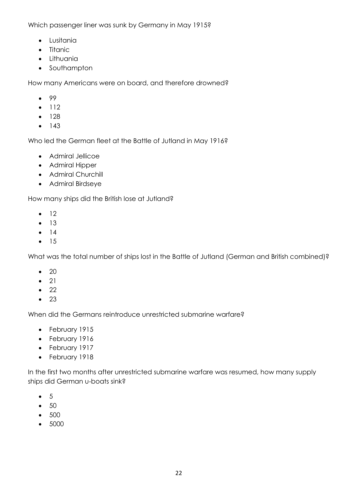Which passenger liner was sunk by Germany in May 1915?

- Lusitania
- Titanic
- **•** Lithuania
- Southampton

How many Americans were on board, and therefore drowned?

- $99$
- $-112$
- $128$
- $-143$

Who led the German fleet at the Battle of Jutland in May 1916?

- Admiral Jellicoe
- Admiral Hipper
- Admiral Churchill
- Admiral Birdseye

How many ships did the British lose at Jutland?

- $\bullet$  12
- $-13$
- $-14$
- $15$

What was the total number of ships lost in the Battle of Jutland (German and British combined)?

- $\bullet$  20
- $\bullet$  21
- $\bullet$  22
- $\bullet$  23

When did the Germans reintroduce unrestricted submarine warfare?

- February 1915
- February 1916
- February 1917
- February 1918

In the first two months after unrestricted submarine warfare was resumed, how many supply ships did German u-boats sink?

- $\bullet$  5
- $\bullet$  50
- 500
- 5000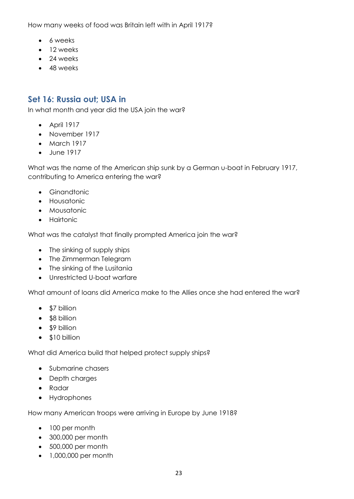How many weeks of food was Britain left with in April 1917?

- 6 weeks
- 12 weeks
- 24 weeks
- 48 weeks

### <span id="page-22-0"></span>**Set 16: Russia out; USA in**

In what month and year did the USA join the war?

- April 1917
- November 1917
- March 1917
- June 1917

What was the name of the American ship sunk by a German u-boat in February 1917, contributing to America entering the war?

- **•** Ginandtonic
- **•** Housatonic
- Mousatonic
- **•** Hairtonic

What was the catalyst that finally prompted America join the war?

- The sinking of supply ships
- The Zimmerman Telegram
- The sinking of the Lusitania
- Unrestricted U-boat warfare

What amount of loans did America make to the Allies once she had entered the war?

- \$7 billion
- \$8 billion
- \$9 billion
- \$10 billion

What did America build that helped protect supply ships?

- Submarine chasers
- Depth charges
- Radar
- Hydrophones

How many American troops were arriving in Europe by June 1918?

- 100 per month
- 300,000 per month
- 500,000 per month
- 1,000,000 per month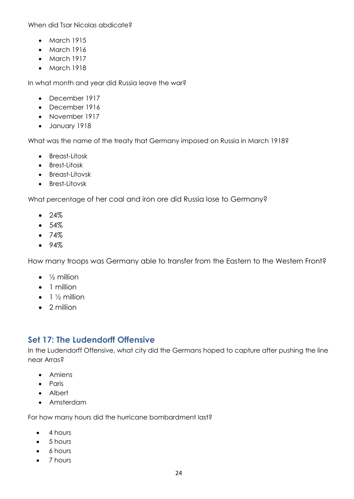When did Tsar Nicolas abdicate?

- March 1915
- March 1916
- March 1917
- March 1918

In what month and year did Russia leave the war?

- December 1917
- December 1916
- November 1917
- January 1918

What was the name of the treaty that Germany imposed on Russia in March 1918?

- Breast-Litosk
- Brest-Litosk
- Breast-Litovsk
- Brest-Litovsk

What percentage of her coal and iron ore did Russia lose to Germany?

- $24%$
- $-54%$
- $74%$
- $94%$

How many troops was Germany able to transfer from the Eastern to the Western Front?

- $\bullet$   $\frac{1}{2}$  million
- 1 million
- $\bullet$  1  $\frac{1}{2}$  million
- 2 million

#### <span id="page-23-0"></span>**Set 17: The Ludendorff Offensive**

In the Ludendorff Offensive, what city did the Germans hoped to capture after pushing the line near Arras?

- Amiens
- Paris
- Albert
- Amsterdam

For how many hours did the hurricane bombardment last?

- 4 hours
- $-5$  hours
- 6 hours
- 7 hours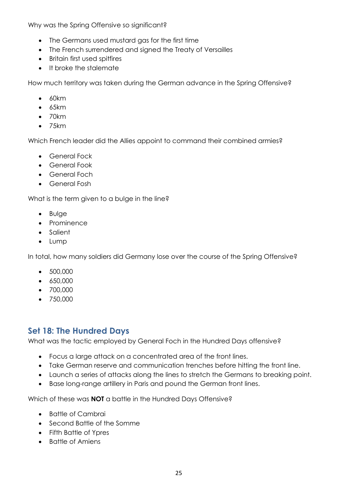Why was the Spring Offensive so significant?

- The Germans used mustard gas for the first time
- The French surrendered and signed the Treaty of Versailles
- Britain first used spitfires
- It broke the stalemate

How much territory was taken during the German advance in the Spring Offensive?

- $60km$
- $-65km$
- $\bullet$  70km
- 75km

Which French leader did the Allies appoint to command their combined armies?

- General Fock
- General Fook
- General Foch
- General Fosh

What is the term given to a bulge in the line?

- Bulge
- Prominence
- Salient
- Lump

In total, how many soldiers did Germany lose over the course of the Spring Offensive?

- 500,000
- $650,000$
- 700,000
- 750,000

### <span id="page-24-0"></span>**Set 18: The Hundred Days**

What was the tactic employed by General Foch in the Hundred Days offensive?

- Focus a large attack on a concentrated area of the front lines.
- Take German reserve and communication trenches before hitting the front line.
- Launch a series of attacks along the lines to stretch the Germans to breaking point.
- Base long-range artillery in Paris and pound the German front lines.

Which of these was **NOT** a battle in the Hundred Days Offensive?

- Battle of Cambrai
- Second Battle of the Somme
- Fifth Battle of Ypres
- Battle of Amiens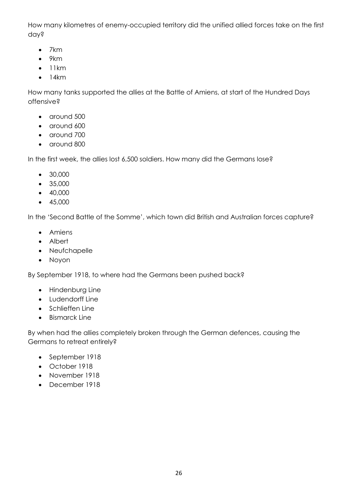How many kilometres of enemy-occupied territory did the unified allied forces take on the first day?

- $\bullet$  7 km
- $•$  9km
- $\bullet$  11km
- $\bullet$  14km

How many tanks supported the allies at the Battle of Amiens, at start of the Hundred Days offensive?

- around 500
- around 600
- around 700
- around 800

In the first week, the allies lost 6,500 soldiers. How many did the Germans lose?

- 30,000
- 35,000
- $-40,000$
- $-45,000$

In the 'Second Battle of the Somme', which town did British and Australian forces capture?

- Amiens
- Albert
- Neufchapelle
- Noyon

By September 1918, to where had the Germans been pushed back?

- Hindenburg Line
- Ludendorff Line
- Schlieffen Line
- Bismarck Line

By when had the allies completely broken through the German defences, causing the Germans to retreat entirely?

- September 1918
- October 1918
- November 1918
- December 1918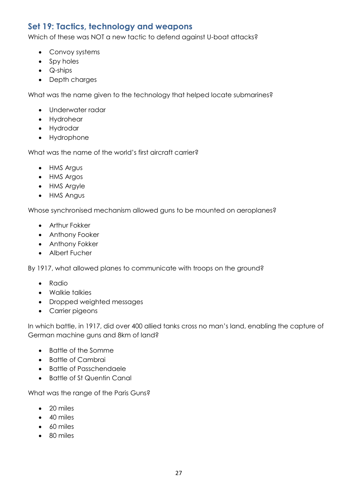## <span id="page-26-0"></span>**Set 19: Tactics, technology and weapons**

Which of these was NOT a new tactic to defend against U-boat attacks?

- Convoy systems
- Spy holes
- Q-ships
- Depth charges

What was the name given to the technology that helped locate submarines?

- Underwater radar
- Hydrohear
- Hydrodar
- Hydrophone

What was the name of the world's first aircraft carrier?

- HMS Argus
- HMS Argos
- HMS Argyle
- HMS Angus

Whose synchronised mechanism allowed guns to be mounted on aeroplanes?

- Arthur Fokker
- Anthony Fooker
- Anthony Fokker
- Albert Fucher

By 1917, what allowed planes to communicate with troops on the ground?

- Radio
- Walkie talkies
- Dropped weighted messages
- Carrier pigeons

In which battle, in 1917, did over 400 allied tanks cross no man's land, enabling the capture of German machine guns and 8km of land?

- Battle of the Somme
- Battle of Cambrai
- Battle of Passchendaele
- Battle of St Quentin Canal

What was the range of the Paris Guns?

- 20 miles
- 40 miles
- 60 miles
- 80 miles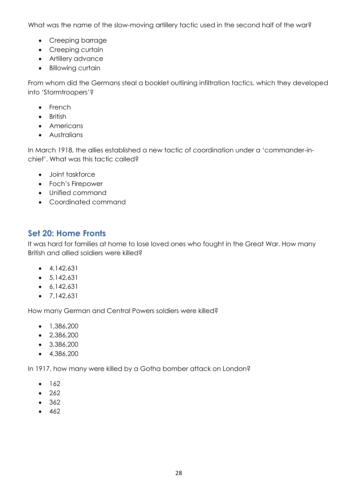What was the name of the slow-moving artillery tactic used in the second half of the war?

- Creeping barrage
- Creeping curtain
- Artillery advance
- Billowing curtain

From whom did the Germans steal a booklet outlining infiltration tactics, which they developed into 'Stormtroopers'?

- French
- British
- Americans
- **•** Australians

In March 1918, the allies established a new tactic of coordination under a 'commander-inchief'. What was this tactic called?

- Joint taskforce
- Foch's Firepower
- Unified command
- Coordinated command

## <span id="page-27-0"></span>**Set 20: Home Fronts**

It was hard for families at home to lose loved ones who fought in the Great War. How many British and allied soldiers were killed?

- $-4,142,631$
- $-5,142,631$
- $6,142,631$
- $\bullet$  7.142.631

How many German and Central Powers soldiers were killed?

- $\bullet$  1,386,200
- $-2,386,200$
- $-3,386,200$
- $-4,386,200$

In 1917, how many were killed by a Gotha bomber attack on London?

- $162$
- $262$
- $362$
- $-462$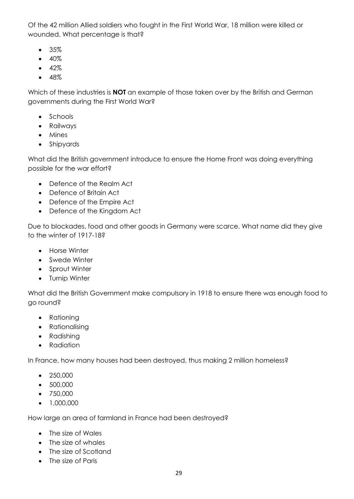Of the 42 million Allied soldiers who fought in the First World War, 18 million were killed or wounded. What percentage is that?

- 35%
- $-40%$
- $-42%$
- $-48%$

Which of these industries is **NOT** an example of those taken over by the British and German governments during the First World War?

- Schools
- Railways
- Mines
- Shipyards

What did the British government introduce to ensure the Home Front was doing everything possible for the war effort?

- Defence of the Realm Act
- Defence of Britain Act
- Defence of the Empire Act
- Defence of the Kingdom Act

Due to blockades, food and other goods in Germany were scarce. What name did they give to the winter of 1917-18?

- Horse Winter
- Swede Winter
- Sprout Winter
- Turnip Winter

What did the British Government make compulsory in 1918 to ensure there was enough food to go round?

- Rationing
- Rationalising
- Radishing
- Radiation

In France, how many houses had been destroyed, thus making 2 million homeless?

- $250,000$
- 500,000
- 750,000
- $\bullet$  1,000,000

How large an area of farmland in France had been destroyed?

- The size of Wales
- The size of whales
- The size of Scotland
- The size of Paris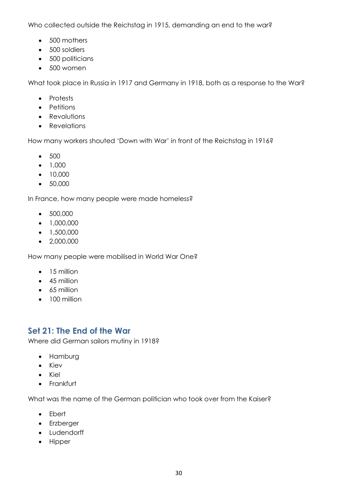Who collected outside the Reichstag in 1915, demanding an end to the war?

- 500 mothers
- 500 soldiers
- 500 politicians
- 500 women

What took place in Russia in 1917 and Germany in 1918, both as a response to the War?

- Protests
- Petitions
- Revolutions
- Revelations

How many workers shouted 'Down with War' in front of the Reichstag in 1916?

- 500
- $-1,000$
- $10,000$
- 50,000

In France, how many people were made homeless?

- 500,000
- $\bullet$  1,000,000
- $\bullet$  1,500,000
- $\bullet$  2,000,000

How many people were mobilised in World War One?

- 15 million
- 45 million
- 65 million
- 100 million

### <span id="page-29-0"></span>**Set 21: The End of the War**

Where did German sailors mutiny in 1918?

- Hamburg
- Kiev
- Kiel
- Frankfurt

What was the name of the German politician who took over from the Kaiser?

- Ebert
- Erzberger
- Ludendorff
- Hipper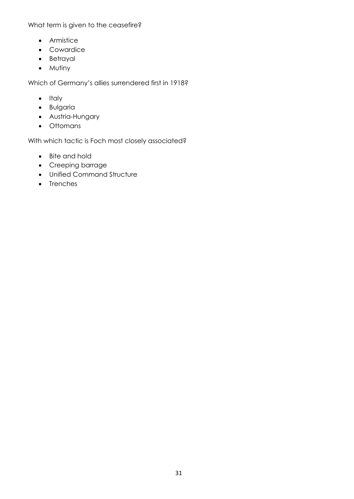What term is given to the ceasefire?

- Armistice
- Cowardice
- Betrayal
- Mutiny

Which of Germany's allies surrendered first in 1918?

- $\bullet$  Italy
- **•** Bulgaria
- Austria-Hungary
- Ottomans

With which tactic is Foch most closely associated?

- Bite and hold
- Creeping barrage
- Unified Command Structure
- Trenches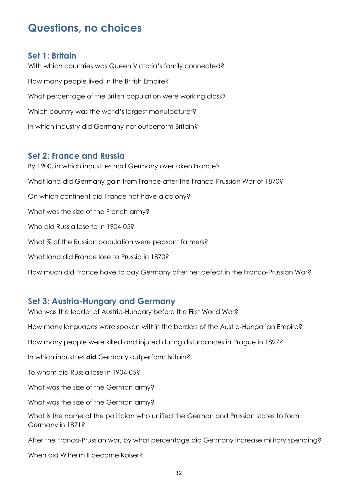# <span id="page-31-0"></span>**Questions, no choices**

#### <span id="page-31-1"></span>**Set 1: Britain**

With which countries was Queen Victoria's family connected? How many people lived in the British Empire? What percentage of the British population were working class? Which country was the world's largest manufacturer? In which industry did Germany not outperform Britain?

#### <span id="page-31-2"></span>**Set 2: France and Russia**

By 1900, in which industries had Germany overtaken France? What land did Germany gain from France after the Franco-Prussian War of 1870? On which continent did France not have a colony? What was the size of the French army? Who did Russia lose to in 1904-05? What % of the Russian population were peasant farmers? What land did France lose to Prussia in 1870? How much did France have to pay Germany after her defeat in the Franco-Prussian War?

#### <span id="page-31-3"></span>**Set 3: Austria-Hungary and Germany**

Who was the leader of Austria-Hungary before the First World War? How many languages were spoken within the borders of the Austro-Hungarian Empire? How many people were killed and injured during disturbances in Prague in 1897? In which industries *did* Germany outperform Britain? To whom did Russia lose in 1904-05? What was the size of the German army? What was the size of the German army? What is the name of the politician who unified the German and Prussian states to form Germany in 1871? After the Franco-Prussian war, by what percentage did Germany increase military spending? When did Wilhelm II become Kaiser?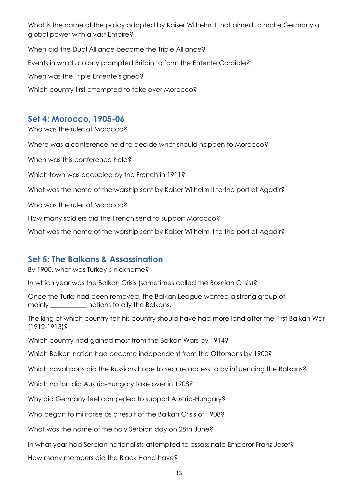What is the name of the policy adopted by Kaiser Wilhelm II that aimed to make Germany a global power with a vast Empire?

When did the Dual Alliance become the Triple Alliance? Events in which colony prompted Britain to form the Entente Cordiale? When was the Triple Entente signed? Which country first attempted to take over Morocco?

### <span id="page-32-0"></span>**Set 4: Morocco, 1905-06**

Who was the ruler of Morocco?

Where was a conference held to decide what should happen to Morocco?

When was this conference held?

Which town was occupied by the French in 1911?

What was the name of the warship sent by Kaiser Wilhelm II to the port of Agadir?

Who was the ruler of Morocco?

How many soldiers did the French send to support Morocco?

What was the name of the warship sent by Kaiser Wilhelm II to the port of Agadir?

#### <span id="page-32-1"></span>**Set 5: The Balkans & Assassination**

By 1900, what was Turkey's nickname?

In which year was the Balkan Crisis (sometimes called the Bosnian Crisis)?

Once the Turks had been removed, the Balkan League wanted a strong group of mainly \_\_\_\_\_\_\_\_\_\_\_ nations to ally the Balkans.

The king of which country felt his country should have had more land after the First Balkan War (1912-1913)?

Which country had gained most from the Balkan Wars by 1914?

Which Balkan nation had become independent from the Ottomans by 1900?

Which naval ports did the Russians hope to secure access to by influencing the Balkans?

Which nation did Austria-Hungary take over in 1908?

Why did Germany feel compelled to support Austria-Hungary?

Who began to militarise as a result of the Balkan Crisis of 1908?

What was the name of the holy Serbian day on 28th June?

In what year had Serbian nationalists attempted to assassinate Emperor Franz Josef?

How many members did the Black Hand have?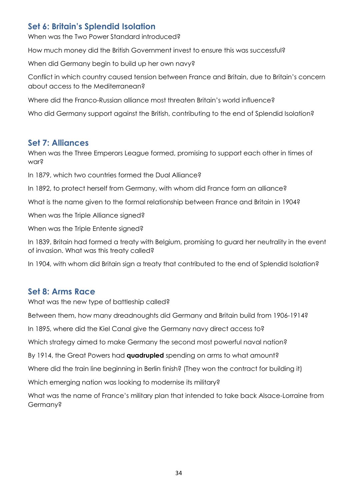## <span id="page-33-0"></span>**Set 6: Britain's Splendid Isolation**

When was the Two Power Standard introduced?

How much money did the British Government invest to ensure this was successful?

When did Germany begin to build up her own navy?

Conflict in which country caused tension between France and Britain, due to Britain's concern about access to the Mediterranean?

Where did the Franco-Russian alliance most threaten Britain's world influence?

Who did Germany support against the British, contributing to the end of Splendid Isolation?

#### <span id="page-33-1"></span>**Set 7: Alliances**

When was the Three Emperors League formed, promising to support each other in times of war?

In 1879, which two countries formed the Dual Alliance?

In 1892, to protect herself from Germany, with whom did France form an alliance?

What is the name given to the formal relationship between France and Britain in 1904?

When was the Triple Alliance signed?

When was the Triple Entente signed?

In 1839, Britain had formed a treaty with Belgium, promising to guard her neutrality in the event of invasion. What was this treaty called?

In 1904, with whom did Britain sign a treaty that contributed to the end of Splendid Isolation?

#### <span id="page-33-2"></span>**Set 8: Arms Race**

What was the new type of battleship called?

Between them, how many dreadnoughts did Germany and Britain build from 1906-1914?

In 1895, where did the Kiel Canal give the Germany navy direct access to?

Which strategy aimed to make Germany the second most powerful naval nation?

By 1914, the Great Powers had **quadrupled** spending on arms to what amount?

Where did the train line beginning in Berlin finish? (They won the contract for building it)

Which emerging nation was looking to modernise its military?

What was the name of France's military plan that intended to take back Alsace-Lorraine from Germany?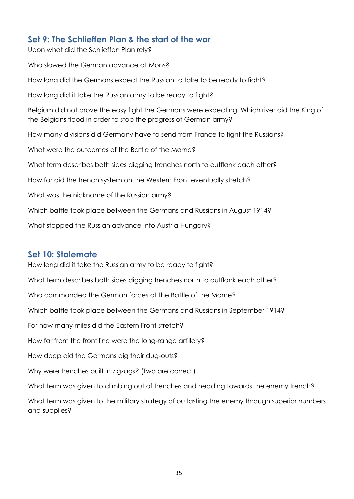### <span id="page-34-0"></span>**Set 9: The Schlieffen Plan & the start of the war**

Upon what did the Schlieffen Plan rely?

Who slowed the German advance at Mons? How long did the Germans expect the Russian to take to be ready to fight? How long did it take the Russian army to be ready to fight? Belgium did not prove the easy fight the Germans were expecting. Which river did the King of the Belgians flood in order to stop the progress of German army? How many divisions did Germany have to send from France to fight the Russians? What were the outcomes of the Battle of the Marne? What term describes both sides digging trenches north to outflank each other? How far did the trench system on the Western Front eventually stretch? What was the nickname of the Russian army? Which battle took place between the Germans and Russians in August 1914? What stopped the Russian advance into Austria-Hungary?

#### <span id="page-34-1"></span>**Set 10: Stalemate**

How long did it take the Russian army to be ready to fight?

What term describes both sides digging trenches north to outflank each other?

Who commanded the German forces at the Battle of the Marne?

Which battle took place between the Germans and Russians in September 1914?

For how many miles did the Eastern Front stretch?

How far from the front line were the long-range artillery?

How deep did the Germans dig their dug-outs?

Why were trenches built in zigzags? (Two are correct)

What term was given to climbing out of trenches and heading towards the enemy trench?

What term was given to the military strategy of outlasting the enemy through superior numbers and supplies?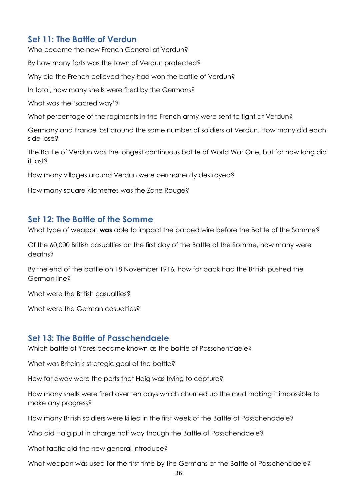#### <span id="page-35-0"></span>**Set 11: The Battle of Verdun**

Who became the new French General at Verdun?

By how many forts was the town of Verdun protected?

Why did the French believed they had won the battle of Verdun?

In total, how many shells were fired by the Germans?

What was the 'sacred way'?

What percentage of the regiments in the French army were sent to fight at Verdun?

Germany and France lost around the same number of soldiers at Verdun. How many did each side lose?

The Battle of Verdun was the longest continuous battle of World War One, but for how long did  $it$  last $s$ 

How many villages around Verdun were permanently destroyed?

How many square kilometres was the Zone Rouge?

#### <span id="page-35-1"></span>**Set 12: The Battle of the Somme**

What type of weapon **was** able to impact the barbed wire before the Battle of the Somme?

Of the 60,000 British casualties on the first day of the Battle of the Somme, how many were deaths?

By the end of the battle on 18 November 1916, how far back had the British pushed the German line?

What were the British casualties?

What were the German casualties?

#### <span id="page-35-2"></span>**Set 13: The Battle of Passchendaele**

Which battle of Ypres became known as the battle of Passchendaele?

What was Britain's strategic goal of the battle?

How far away were the ports that Haig was trying to capture?

How many shells were fired over ten days which churned up the mud making it impossible to make any progress?

How many British soldiers were killed in the first week of the Battle of Passchendaele?

Who did Haig put in charge half way though the Battle of Passchendaele?

What tactic did the new general introduce?

What weapon was used for the first time by the Germans at the Battle of Passchendaele?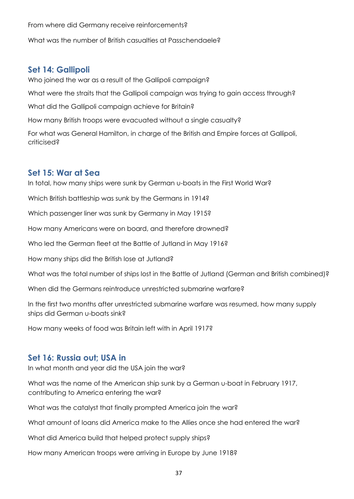From where did Germany receive reinforcements?

What was the number of British casualties at Passchendaele?

#### <span id="page-36-0"></span>**Set 14: Gallipoli**

Who joined the war as a result of the Gallipoli campaign?

What were the straits that the Gallipoli campaign was trying to gain access through?

What did the Gallipoli campaign achieve for Britain?

How many British troops were evacuated without a single casualty?

For what was General Hamilton, in charge of the British and Empire forces at Gallipoli, criticised?

#### <span id="page-36-1"></span>**Set 15: War at Sea**

In total, how many ships were sunk by German u-boats in the First World War?

Which British battleship was sunk by the Germans in 1914?

Which passenger liner was sunk by Germany in May 1915?

How many Americans were on board, and therefore drowned?

Who led the German fleet at the Battle of Jutland in May 1916?

How many ships did the British lose at Jutland?

What was the total number of ships lost in the Battle of Jutland (German and British combined)?

When did the Germans reintroduce unrestricted submarine warfare?

In the first two months after unrestricted submarine warfare was resumed, how many supply ships did German u-boats sink?

How many weeks of food was Britain left with in April 1917?

#### <span id="page-36-2"></span>**Set 16: Russia out; USA in**

In what month and year did the USA join the war?

What was the name of the American ship sunk by a German u-boat in February 1917, contributing to America entering the war?

What was the catalyst that finally prompted America join the war?

What amount of loans did America make to the Allies once she had entered the war?

What did America build that helped protect supply ships?

How many American troops were arriving in Europe by June 1918?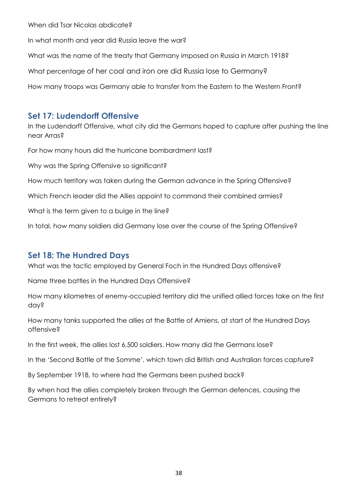When did Tsar Nicolas abdicate?

In what month and year did Russia leave the war?

What was the name of the treaty that Germany imposed on Russia in March 1918?

What percentage of her coal and iron ore did Russia lose to Germany?

How many troops was Germany able to transfer from the Eastern to the Western Front?

#### <span id="page-37-0"></span>**Set 17: Ludendorff Offensive**

In the Ludendorff Offensive, what city did the Germans hoped to capture after pushing the line near Arras?

For how many hours did the hurricane bombardment last?

Why was the Spring Offensive so significant?

How much territory was taken during the German advance in the Spring Offensive?

Which French leader did the Allies appoint to command their combined armies?

What is the term given to a bulge in the line?

In total, how many soldiers did Germany lose over the course of the Spring Offensive?

#### <span id="page-37-1"></span>**Set 18: The Hundred Days**

What was the tactic employed by General Foch in the Hundred Days offensive?

Name three battles in the Hundred Days Offensive?

How many kilometres of enemy-occupied territory did the unified allied forces take on the first day?

How many tanks supported the allies at the Battle of Amiens, at start of the Hundred Days offensive?

In the first week, the allies lost 6,500 soldiers. How many did the Germans lose?

In the 'Second Battle of the Somme', which town did British and Australian forces capture?

By September 1918, to where had the Germans been pushed back?

By when had the allies completely broken through the German defences, causing the Germans to retreat entirely?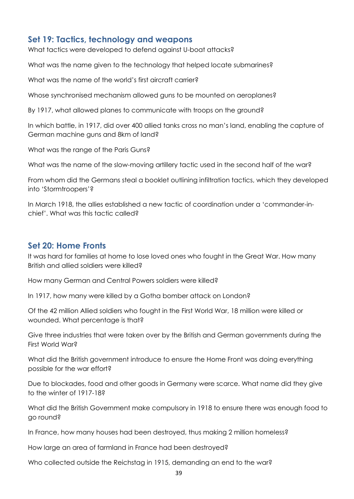#### <span id="page-38-0"></span>**Set 19: Tactics, technology and weapons**

What tactics were developed to defend against U-boat attacks?

What was the name given to the technology that helped locate submarines?

What was the name of the world's first aircraft carrier?

Whose synchronised mechanism allowed guns to be mounted on aeroplanes?

By 1917, what allowed planes to communicate with troops on the ground?

In which battle, in 1917, did over 400 allied tanks cross no man's land, enabling the capture of German machine guns and 8km of land?

What was the range of the Paris Guns?

What was the name of the slow-moving artillery tactic used in the second half of the war?

From whom did the Germans steal a booklet outlining infiltration tactics, which they developed into 'Stormtroopers'?

In March 1918, the allies established a new tactic of coordination under a 'commander-inchief'. What was this tactic called?

#### <span id="page-38-1"></span>**Set 20: Home Fronts**

It was hard for families at home to lose loved ones who fought in the Great War. How many British and allied soldiers were killed?

How many German and Central Powers soldiers were killed?

In 1917, how many were killed by a Gotha bomber attack on London?

Of the 42 million Allied soldiers who fought in the First World War, 18 million were killed or wounded. What percentage is that?

Give three industries that were taken over by the British and German governments during the First World War?

What did the British government introduce to ensure the Home Front was doing everything possible for the war effort?

Due to blockades, food and other goods in Germany were scarce. What name did they give to the winter of 1917-18?

What did the British Government make compulsory in 1918 to ensure there was enough food to go round?

In France, how many houses had been destroyed, thus making 2 million homeless?

How large an area of farmland in France had been destroyed?

Who collected outside the Reichstag in 1915, demanding an end to the war?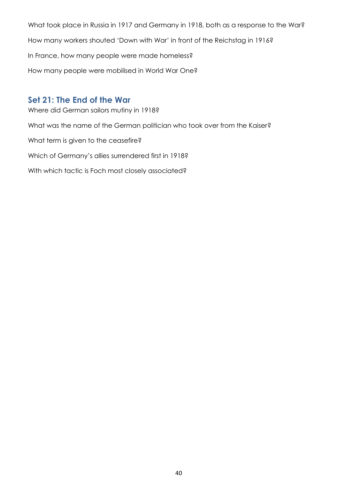What took place in Russia in 1917 and Germany in 1918, both as a response to the War? How many workers shouted 'Down with War' in front of the Reichstag in 1916? In France, how many people were made homeless? How many people were mobilised in World War One?

#### <span id="page-39-0"></span>**Set 21: The End of the War**

Where did German sailors mutiny in 1918? What was the name of the German politician who took over from the Kaiser? What term is given to the ceasefire? Which of Germany's allies surrendered first in 1918? With which tactic is Foch most closely associated?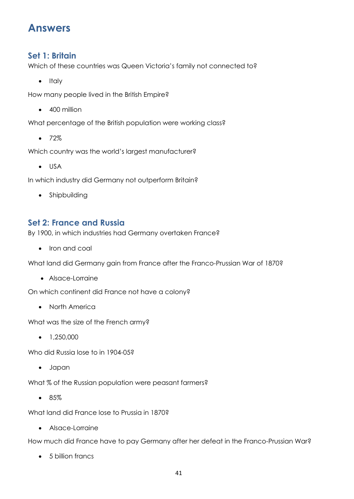# <span id="page-40-0"></span>**Answers**

#### <span id="page-40-1"></span>**Set 1: Britain**

Which of these countries was Queen Victoria's family not connected to?

 $\bullet$  Italy

How many people lived in the British Empire?

• 400 million

What percentage of the British population were working class?

 $• 72%$ 

Which country was the world's largest manufacturer?

USA

In which industry did Germany not outperform Britain?

• Shipbuilding

### <span id="page-40-2"></span>**Set 2: France and Russia**

By 1900, in which industries had Germany overtaken France?

• Iron and coal

What land did Germany gain from France after the Franco-Prussian War of 1870?

Alsace-Lorraine

On which continent did France not have a colony?

• North America

What was the size of the French army?

 $\bullet$  1,250,000

Who did Russia lose to in 1904-05?

Japan

What % of the Russian population were peasant farmers?

• 85%

What land did France lose to Prussia in 1870?

Alsace-Lorraine

How much did France have to pay Germany after her defeat in the Franco-Prussian War?

• 5 billion francs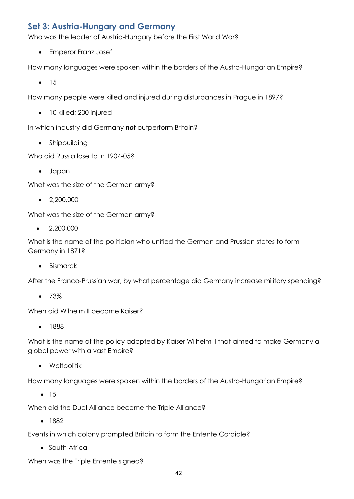### <span id="page-41-0"></span>**Set 3: Austria-Hungary and Germany**

Who was the leader of Austria-Hungary before the First World War?

Emperor Franz Josef

How many languages were spoken within the borders of the Austro-Hungarian Empire?

 $• 15$ 

How many people were killed and injured during disturbances in Prague in 1897?

• 10 killed; 200 injured

In which industry did Germany *not* outperform Britain?

• Shipbuilding

Who did Russia lose to in 1904-05?

Japan

What was the size of the German army?

 $\bullet$  2,200,000

What was the size of the German army?

 $\bullet$  2,200,000

What is the name of the politician who unified the German and Prussian states to form Germany in 1871?

• Bismarck

After the Franco-Prussian war, by what percentage did Germany increase military spending?

 $• 73%$ 

When did Wilhelm II become Kaiser?

• 1888

What is the name of the policy adopted by Kaiser Wilhelm II that aimed to make Germany a global power with a vast Empire?

• Weltpolitik

How many languages were spoken within the borders of the Austro-Hungarian Empire?

 $• 15$ 

When did the Dual Alliance become the Triple Alliance?

• 1882

Events in which colony prompted Britain to form the Entente Cordiale?

• South Africa

When was the Triple Entente signed?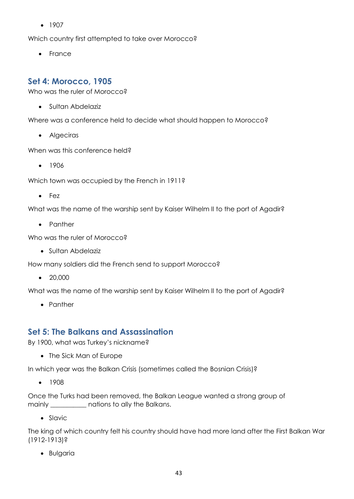$-1907$ 

Which country first attempted to take over Morocco?

• France

#### <span id="page-42-0"></span>**Set 4: Morocco, 1905**

Who was the ruler of Morocco?

• Sultan Abdelaziz

Where was a conference held to decide what should happen to Morocco?

• Algeciras

When was this conference held?

 $• 1906$ 

Which town was occupied by the French in 1911?

• Fez

What was the name of the warship sent by Kaiser Wilhelm II to the port of Agadir?

• Panther

Who was the ruler of Morocco?

Sultan Abdelaziz

How many soldiers did the French send to support Morocco?

• 20,000

What was the name of the warship sent by Kaiser Wilhelm II to the port of Agadir?

• Panther

#### <span id="page-42-1"></span>**Set 5: The Balkans and Assassination**

By 1900, what was Turkey's nickname?

• The Sick Man of Europe

In which year was the Balkan Crisis (sometimes called the Bosnian Crisis)?

 $• 1908$ 

Once the Turks had been removed, the Balkan League wanted a strong group of mainly \_\_\_\_\_\_\_\_\_\_\_ nations to ally the Balkans.

• Slavic

The king of which country felt his country should have had more land after the First Balkan War (1912-1913)?

Bulgaria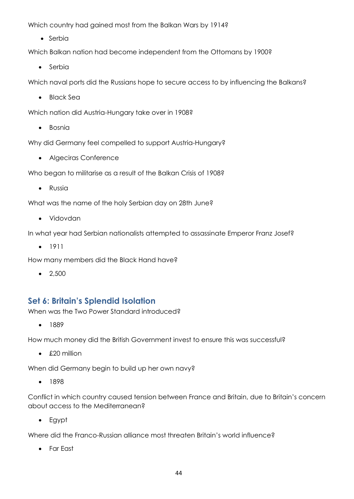Which country had gained most from the Balkan Wars by 1914?

• Serbia

Which Balkan nation had become independent from the Ottomans by 1900?

• Serbia

Which naval ports did the Russians hope to secure access to by influencing the Balkans?

• Black Sea

Which nation did Austria-Hungary take over in 1908?

• Bosnia

Why did Germany feel compelled to support Austria-Hungary?

Algeciras Conference

Who began to militarise as a result of the Balkan Crisis of 1908?

• Russia

What was the name of the holy Serbian day on 28th June?

Vidovdan

In what year had Serbian nationalists attempted to assassinate Emperor Franz Josef?

• 1911

How many members did the Black Hand have?

 $\bullet$  2,500

#### <span id="page-43-0"></span>**Set 6: Britain's Splendid Isolation**

When was the Two Power Standard introduced?

 $• 1889$ 

How much money did the British Government invest to ensure this was successful?

• £20 million

When did Germany begin to build up her own navy?

• 1898

Conflict in which country caused tension between France and Britain, due to Britain's concern about access to the Mediterranean?

Egypt

Where did the Franco-Russian alliance most threaten Britain's world influence?

Far East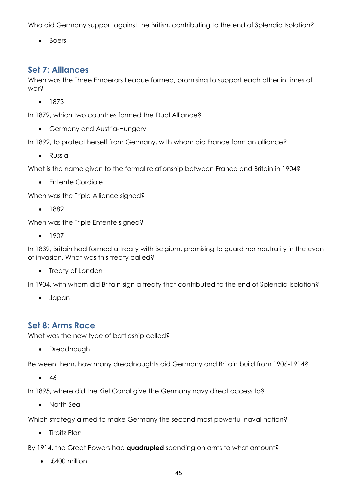Who did Germany support against the British, contributing to the end of Splendid Isolation?

• Boers

#### <span id="page-44-0"></span>**Set 7: Alliances**

When was the Three Emperors League formed, promising to support each other in times of war?

 $• 1873$ 

In 1879, which two countries formed the Dual Alliance?

• Germany and Austria-Hungary

In 1892, to protect herself from Germany, with whom did France form an alliance?

• Russia

What is the name given to the formal relationship between France and Britain in 1904?

• Fntente Cordiale

When was the Triple Alliance signed?

• 1882

When was the Triple Entente signed?

 $-1907$ 

In 1839, Britain had formed a treaty with Belgium, promising to guard her neutrality in the event of invasion. What was this treaty called?

• Treaty of London

In 1904, with whom did Britain sign a treaty that contributed to the end of Splendid Isolation?

Japan

#### <span id="page-44-1"></span>**Set 8: Arms Race**

What was the new type of battleship called?

• Dreadnought

Between them, how many dreadnoughts did Germany and Britain build from 1906-1914?

 $• 46$ 

In 1895, where did the Kiel Canal give the Germany navy direct access to?

• North Sea

Which strategy aimed to make Germany the second most powerful naval nation?

• Tirpitz Plan

By 1914, the Great Powers had **quadrupled** spending on arms to what amount?

 $\bullet$  £400 million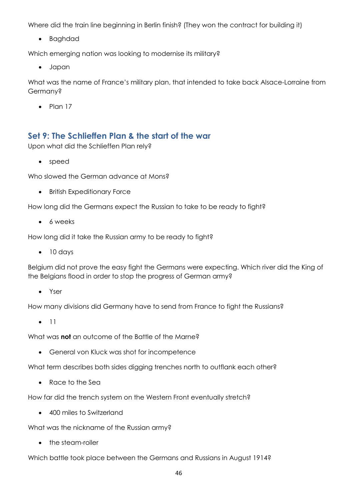Where did the train line beginning in Berlin finish? (They won the contract for building it)

Baghdad

Which emerging nation was looking to modernise its military?

Japan

What was the name of France's military plan, that intended to take back Alsace-Lorraine from Germany?

 $\bullet$  Plan 17

#### <span id="page-45-0"></span>**Set 9: The Schlieffen Plan & the start of the war**

Upon what did the Schlieffen Plan rely?

• speed

Who slowed the German advance at Mons?

**•** British Expeditionary Force

How long did the Germans expect the Russian to take to be ready to fight?

• 6 weeks

How long did it take the Russian army to be ready to fight?

 $\bullet$  10 days

Belgium did not prove the easy fight the Germans were expecting. Which river did the King of the Belgians flood in order to stop the progress of German army?

• Yser

How many divisions did Germany have to send from France to fight the Russians?

 $\bullet$  11

What was **not** an outcome of the Battle of the Marne?

General von Kluck was shot for incompetence

What term describes both sides digging trenches north to outflank each other?

• Race to the Sea

How far did the trench system on the Western Front eventually stretch?

• 400 miles to Switzerland

What was the nickname of the Russian army?

• the steam-roller

Which battle took place between the Germans and Russians in August 1914?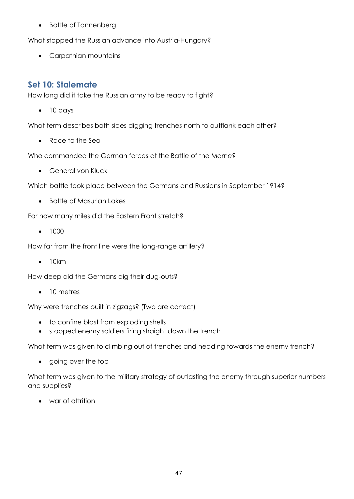• Battle of Tannenberg

What stopped the Russian advance into Austria-Hungary?

Carpathian mountains

#### <span id="page-46-0"></span>**Set 10: Stalemate**

How long did it take the Russian army to be ready to fight?

10 days

What term describes both sides digging trenches north to outflank each other?

Race to the Sea

Who commanded the German forces at the Battle of the Marne?

• General von Kluck

Which battle took place between the Germans and Russians in September 1914?

• Battle of Masurian Lakes

For how many miles did the Eastern Front stretch?

 $-1000$ 

How far from the front line were the long-range artillery?

 $\bullet$  10km

How deep did the Germans dig their dug-outs?

• 10 metres

Why were trenches built in zigzags? (Two are correct)

- to confine blast from exploding shells
- stopped enemy soldiers firing straight down the trench

What term was given to climbing out of trenches and heading towards the enemy trench?

• going over the top

What term was given to the military strategy of outlasting the enemy through superior numbers and supplies?

war of attrition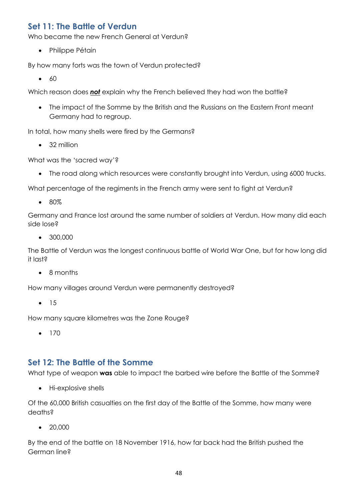## <span id="page-47-0"></span>**Set 11: The Battle of Verdun**

Who became the new French General at Verdun?

• Philippe Pétain

By how many forts was the town of Verdun protected?

 $660$ 

Which reason does *not* explain why the French believed they had won the battle?

• The impact of the Somme by the British and the Russians on the Eastern Front meant Germany had to regroup.

In total, how many shells were fired by the Germans?

• 32 million

What was the 'sacred way'?

• The road along which resources were constantly brought into Verdun, using 6000 trucks.

What percentage of the regiments in the French army were sent to fight at Verdun?

• 80%

Germany and France lost around the same number of soldiers at Verdun. How many did each side lose?

• 300,000

The Battle of Verdun was the longest continuous battle of World War One, but for how long did it last?

• 8 months

How many villages around Verdun were permanently destroyed?

 $• 15$ 

How many square kilometres was the Zone Rouge?

 $• 170$ 

#### <span id="page-47-1"></span>**Set 12: The Battle of the Somme**

What type of weapon **was** able to impact the barbed wire before the Battle of the Somme?

• Hi-explosive shells

Of the 60,000 British casualties on the first day of the Battle of the Somme, how many were deaths?

 $\bullet$  20,000

By the end of the battle on 18 November 1916, how far back had the British pushed the German line?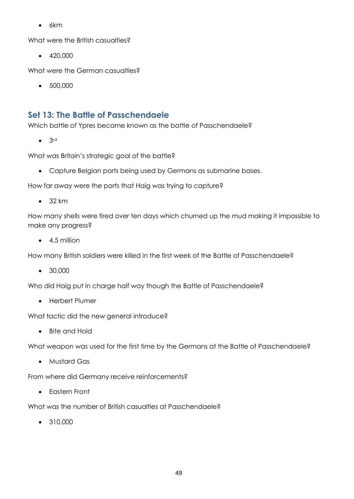$-6km$ 

What were the British casualties?

 $-420,000$ 

What were the German casualties?

500,000

### <span id="page-48-0"></span>**Set 13: The Battle of Passchendaele**

Which battle of Ypres became known as the battle of Passchendaele?

 $\bullet$  3rd

What was Britain's strategic goal of the battle?

Capture Belgian ports being used by Germans as submarine bases.

How far away were the ports that Haig was trying to capture?

 $-32$  km

How many shells were fired over ten days which churned up the mud making it impossible to make any progress?

 $-4.5$  million

How many British soldiers were killed in the first week of the Battle of Passchendaele?

• 30,000

Who did Haig put in charge half way though the Battle of Passchendaele?

• Herbert Plumer

What tactic did the new general introduce?

• Bite and Hold

What weapon was used for the first time by the Germans at the Battle of Passchendaele?

Mustard Gas

From where did Germany receive reinforcements?

Eastern Front

What was the number of British casualties at Passchendaele?

• 310,000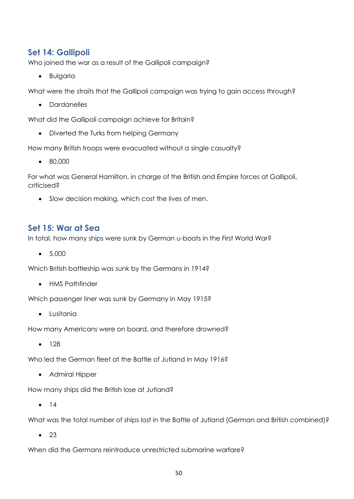#### <span id="page-49-0"></span>**Set 14: Gallipoli**

Who joined the war as a result of the Gallipoli campaign?

• Bulgaria

What were the straits that the Gallipoli campaign was trying to gain access through?

• Dardanelles

What did the Gallipoli campaign achieve for Britain?

• Diverted the Turks from helping Germany

How many British troops were evacuated without a single casualty?

80,000

For what was General Hamilton, in charge of the British and Empire forces at Gallipoli, criticised?

• Slow decision making, which cost the lives of men.

#### <span id="page-49-1"></span>**Set 15: War at Sea**

In total, how many ships were sunk by German u-boats in the First World War?

 $-5,000$ 

Which British battleship was sunk by the Germans in 1914?

• HMS Pathfinder

Which passenger liner was sunk by Germany in May 1915?

Lusitania

How many Americans were on board, and therefore drowned?

 $• 128$ 

Who led the German fleet at the Battle of Jutland in May 1916?

• Admiral Hipper

How many ships did the British lose at Jutland?

 $• 14$ 

What was the total number of ships lost in the Battle of Jutland (German and British combined)?

 $\bullet$  23

When did the Germans reintroduce unrestricted submarine warfare?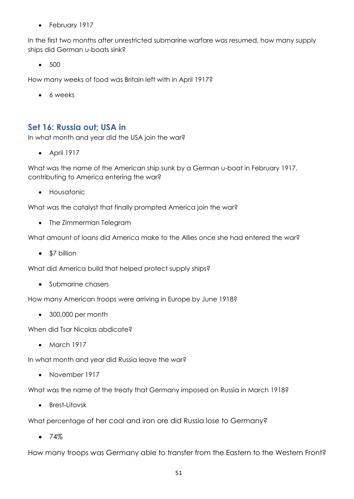• February 1917

In the first two months after unrestricted submarine warfare was resumed, how many supply ships did German u-boats sink?

• 500

How many weeks of food was Britain left with in April 1917?

• 6 weeks

#### <span id="page-50-0"></span>**Set 16: Russia out; USA in**

In what month and year did the USA join the war?

 $\bullet$  April 1917

What was the name of the American ship sunk by a German u-boat in February 1917, contributing to America entering the war?

**•** Housatonic

What was the catalyst that finally prompted America join the war?

• The Zimmerman Telegram

What amount of loans did America make to the Allies once she had entered the war?

• \$7 billion

What did America build that helped protect supply ships?

• Submarine chasers

How many American troops were arriving in Europe by June 1918?

300,000 per month

When did Tsar Nicolas abdicate?

• March 1917

In what month and year did Russia leave the war?

• November 1917

What was the name of the treaty that Germany imposed on Russia in March 1918?

Brest-Litovsk

What percentage of her coal and iron ore did Russia lose to Germany?

 $• 74%$ 

How many troops was Germany able to transfer from the Eastern to the Western Front?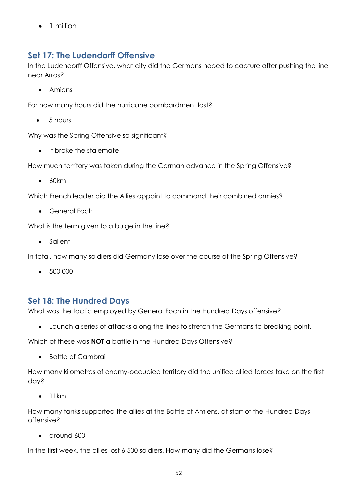• 1 million

# <span id="page-51-0"></span>**Set 17: The Ludendorff Offensive**

In the Ludendorff Offensive, what city did the Germans hoped to capture after pushing the line near Arras?

• Amiens

For how many hours did the hurricane bombardment last?

 $-5$  hours

Why was the Spring Offensive so significant?

• It broke the stalemate

How much territory was taken during the German advance in the Spring Offensive?

 $60km$ 

Which French leader did the Allies appoint to command their combined armies?

General Foch

What is the term given to a bulge in the line?

• Salient

In total, how many soldiers did Germany lose over the course of the Spring Offensive?

 $-500,000$ 

### <span id="page-51-1"></span>**Set 18: The Hundred Days**

What was the tactic employed by General Foch in the Hundred Days offensive?

Launch a series of attacks along the lines to stretch the Germans to breaking point.

Which of these was **NOT** a battle in the Hundred Days Offensive?

• Battle of Cambrai

How many kilometres of enemy-occupied territory did the unified allied forces take on the first day?

 $\bullet$  11km

How many tanks supported the allies at the Battle of Amiens, at start of the Hundred Days offensive?

• around 600

In the first week, the allies lost 6,500 soldiers. How many did the Germans lose?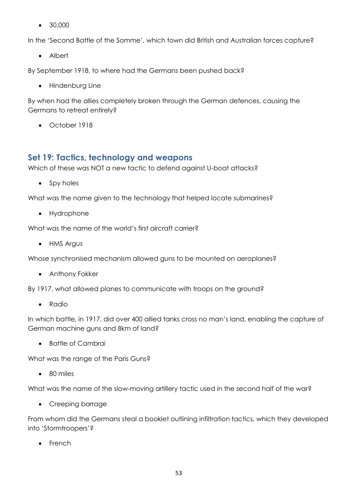• 30,000

In the 'Second Battle of the Somme', which town did British and Australian forces capture?

• Albert

By September 1918, to where had the Germans been pushed back?

• Hindenburg Line

By when had the allies completely broken through the German defences, causing the Germans to retreat entirely?

October 1918

#### <span id="page-52-0"></span>**Set 19: Tactics, technology and weapons**

Which of these was NOT a new tactic to defend against U-boat attacks?

• Spy holes

What was the name given to the technology that helped locate submarines?

• Hydrophone

What was the name of the world's first aircraft carrier?

• HMS Argus

Whose synchronised mechanism allowed guns to be mounted on aeroplanes?

• Anthony Fokker

By 1917, what allowed planes to communicate with troops on the ground?

• Radio

In which battle, in 1917, did over 400 allied tanks cross no man's land, enabling the capture of German machine guns and 8km of land?

• Battle of Cambrai

What was the range of the Paris Guns?

80 miles

What was the name of the slow-moving artillery tactic used in the second half of the war?

• Creeping barrage

From whom did the Germans steal a booklet outlining infiltration tactics, which they developed into 'Stormtroopers'?

• French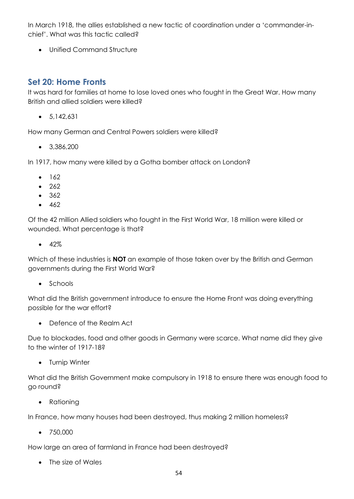In March 1918, the allies established a new tactic of coordination under a 'commander-inchief'. What was this tactic called?

• Unified Command Structure

#### <span id="page-53-0"></span>**Set 20: Home Fronts**

It was hard for families at home to lose loved ones who fought in the Great War. How many British and allied soldiers were killed?

 $-5.142.631$ 

How many German and Central Powers soldiers were killed?

 $\bullet$  3,386,200

In 1917, how many were killed by a Gotha bomber attack on London?

- $162$
- 262
- $362$
- $-462$

Of the 42 million Allied soldiers who fought in the First World War, 18 million were killed or wounded. What percentage is that?

 $-42%$ 

Which of these industries is **NOT** an example of those taken over by the British and German governments during the First World War?

• Schools

What did the British government introduce to ensure the Home Front was doing everything possible for the war effort?

Defence of the Realm Act

Due to blockades, food and other goods in Germany were scarce. What name did they give to the winter of 1917-18?

• Turnip Winter

What did the British Government make compulsory in 1918 to ensure there was enough food to go round?

• Rationing

In France, how many houses had been destroyed, thus making 2 million homeless?

• 750,000

How large an area of farmland in France had been destroyed?

• The size of Wales